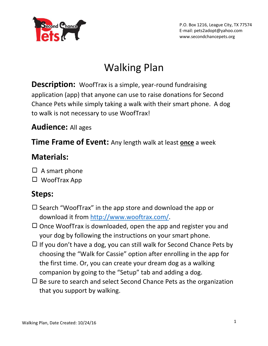

P.O. Box 1216, League City, TX 77574 E-mail: pets2adopt@yahoo.com www.secondchancepets.org

# Walking Plan

**Description:** WoofTrax is a simple, year-round fundraising application (app) that anyone can use to raise donations for Second Chance Pets while simply taking a walk with their smart phone. A dog to walk is not necessary to use WoofTrax!

### **Audience:** All ages

**Time Frame of Event:** Any length walk at least **once** a week

### **Materials:**

- $\Box$  A smart phone
- $\Box$  WoofTrax App

#### **Steps:**

- $\square$  Search "WoofTrax" in the app store and download the app or download it from [http://www.wooftrax.com/.](http://www.wooftrax.com/)
- $\Box$  Once WoofTrax is downloaded, open the app and register you and your dog by following the instructions on your smart phone.
- $\Box$  If you don't have a dog, you can still walk for Second Chance Pets by choosing the "Walk for Cassie" option after enrolling in the app for the first time. Or, you can create your dream dog as a walking companion by going to the "Setup" tab and adding a dog.
- $\Box$  Be sure to search and select Second Chance Pets as the organization that you support by walking.